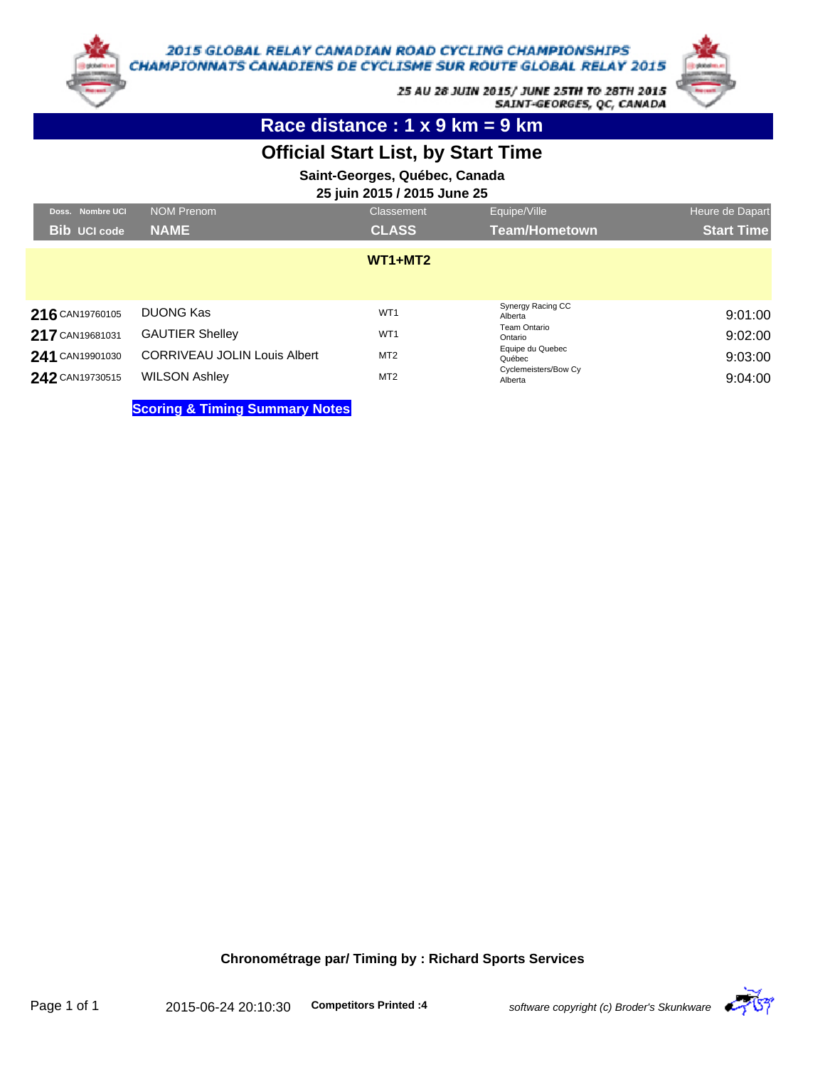

25 AU 28 JUIN 2015/ JUNE 25TH TO 28TH 2015 SAINT-GEORGES, QC, CANADA

**Race distance : 1 x 9 km = 9 km**

# **Official Start List, by Start Time**

**Saint-Georges, Québec, Canada**

**25 juin 2015 / 2015 June 25**

| Doss. Nombre UCI    | <b>NOM Prenom</b>                         | Classement      | Equipe/Ville                    | Heure de Dapart   |
|---------------------|-------------------------------------------|-----------------|---------------------------------|-------------------|
| <b>Bib</b> UCI code | <b>NAME</b>                               | <b>CLASS</b>    | <b>Team/Hometown</b>            | <b>Start Time</b> |
|                     |                                           | $WT1+MT2$       |                                 |                   |
| 216 CAN19760105     | <b>DUONG Kas</b>                          | WT <sub>1</sub> | Synergy Racing CC<br>Alberta    | 9:01:00           |
| 217 CAN19681031     | <b>GAUTIER Shelley</b>                    | WT <sub>1</sub> | <b>Team Ontario</b><br>Ontario  | 9:02:00           |
| 241 CAN19901030     | <b>CORRIVEAU JOLIN Louis Albert</b>       | MT <sub>2</sub> | Equipe du Quebec<br>Québec      | 9:03:00           |
| 242 CAN19730515     | <b>WILSON Ashley</b>                      | MT <sub>2</sub> | Cyclemeisters/Bow Cy<br>Alberta | 9:04:00           |
|                     | <b>Scoring &amp; Timing Summary Notes</b> |                 |                                 |                   |

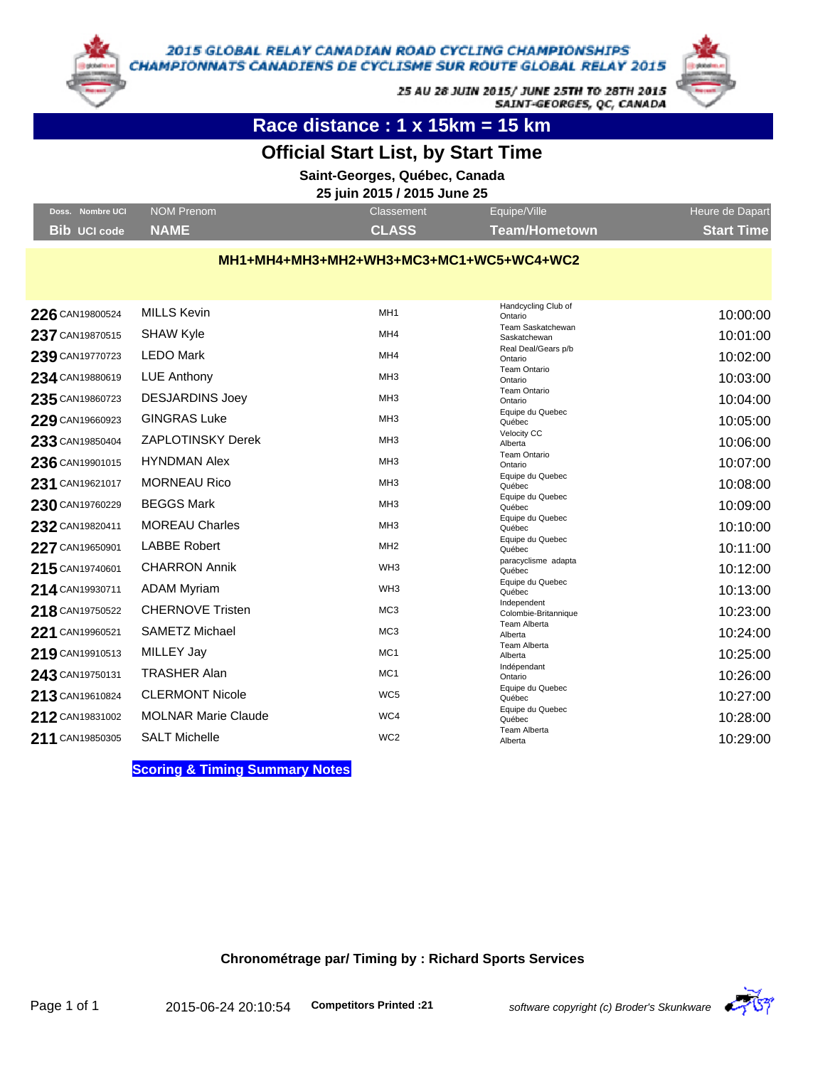

25 AU 28 JUIN 2015/ JUNE 25TH TO 28TH 2015 SAINT-GEORGES, QC, CANADA

**Race distance : 1 x 15km = 15 km**

## **Official Start List, by Start Time**

**Saint-Georges, Québec, Canada**

#### **25 juin 2015 / 2015 June 25**

| Doss. Nombre UCI  | NOM Prenom | Classement   | Equipe/Ville  | Heure de Dapart   |
|-------------------|------------|--------------|---------------|-------------------|
| Bib UCI code NAME |            | <b>CLASS</b> | Team/Hometown | <b>Start Time</b> |

#### **MH1+MH4+MH3+MH2+WH3+MC3+MC1+WC5+WC4+WC2**

| 226 CAN19800524 | <b>MILLS Kevin</b>         | MH <sub>1</sub> | Handcycling Club of<br>Ontario      | 10:00:00 |
|-----------------|----------------------------|-----------------|-------------------------------------|----------|
| 237 CAN19870515 | <b>SHAW Kyle</b>           | MH <sub>4</sub> | Team Saskatchewan<br>Saskatchewan   | 10:01:00 |
| 239 CAN19770723 | <b>LEDO Mark</b>           | MH <sub>4</sub> | Real Deal/Gears p/b<br>Ontario      | 10:02:00 |
| 234 CAN19880619 | <b>LUE Anthony</b>         | MH <sub>3</sub> | <b>Team Ontario</b><br>Ontario      | 10:03:00 |
| 235 CAN19860723 | <b>DESJARDINS Joey</b>     | MH <sub>3</sub> | <b>Team Ontario</b><br>Ontario      | 10:04:00 |
| 229 CAN19660923 | <b>GINGRAS Luke</b>        | MH <sub>3</sub> | Equipe du Quebec<br>Québec          | 10:05:00 |
| 233 CAN19850404 | <b>ZAPLOTINSKY Derek</b>   | MH <sub>3</sub> | Velocity CC<br>Alberta              | 10:06:00 |
| 236 CAN19901015 | <b>HYNDMAN Alex</b>        | MH <sub>3</sub> | <b>Team Ontario</b>                 | 10:07:00 |
| 231 CAN19621017 | <b>MORNEAU Rico</b>        | MH <sub>3</sub> | Ontario<br>Equipe du Quebec         | 10:08:00 |
|                 |                            | MH <sub>3</sub> | Québec<br>Equipe du Quebec          |          |
| 230 CAN19760229 | <b>BEGGS Mark</b>          |                 | Québec<br>Equipe du Quebec          | 10:09:00 |
| 232 CAN19820411 | <b>MOREAU Charles</b>      | MH <sub>3</sub> | Québec                              | 10:10:00 |
| 227 CAN19650901 | <b>LABBE Robert</b>        | MH <sub>2</sub> | Equipe du Quebec<br>Québec          | 10:11:00 |
| 215 CAN19740601 | <b>CHARRON Annik</b>       | WH <sub>3</sub> | paracyclisme adapta<br>Québec       | 10:12:00 |
| 214 CAN19930711 | <b>ADAM Myriam</b>         | WH <sub>3</sub> | Equipe du Quebec<br>Québec          | 10:13:00 |
| 218 CAN19750522 | <b>CHERNOVE Tristen</b>    | MC <sub>3</sub> | Independent<br>Colombie-Britannique | 10:23:00 |
|                 | <b>SAMETZ Michael</b>      | MC <sub>3</sub> | <b>Team Alberta</b>                 |          |
| 221 CAN19960521 |                            |                 | Alberta<br><b>Team Alberta</b>      | 10:24:00 |
| 219 CAN19910513 | MILLEY Jay                 | MC <sub>1</sub> | Alberta                             | 10:25:00 |
| 243 CAN19750131 | <b>TRASHER Alan</b>        | MC <sub>1</sub> | Indépendant<br>Ontario              | 10:26:00 |
| 213 CAN19610824 | <b>CLERMONT Nicole</b>     | WC <sub>5</sub> | Equipe du Quebec<br>Québec          | 10:27:00 |
| 212 CAN19831002 | <b>MOLNAR Marie Claude</b> | WC4             | Equipe du Quebec<br>Québec          | 10:28:00 |
| 211 CAN19850305 | <b>SALT Michelle</b>       | WC <sub>2</sub> | <b>Team Alberta</b><br>Alberta      | 10:29:00 |
|                 |                            |                 |                                     |          |

**Scoring & Timing Summary Notes**

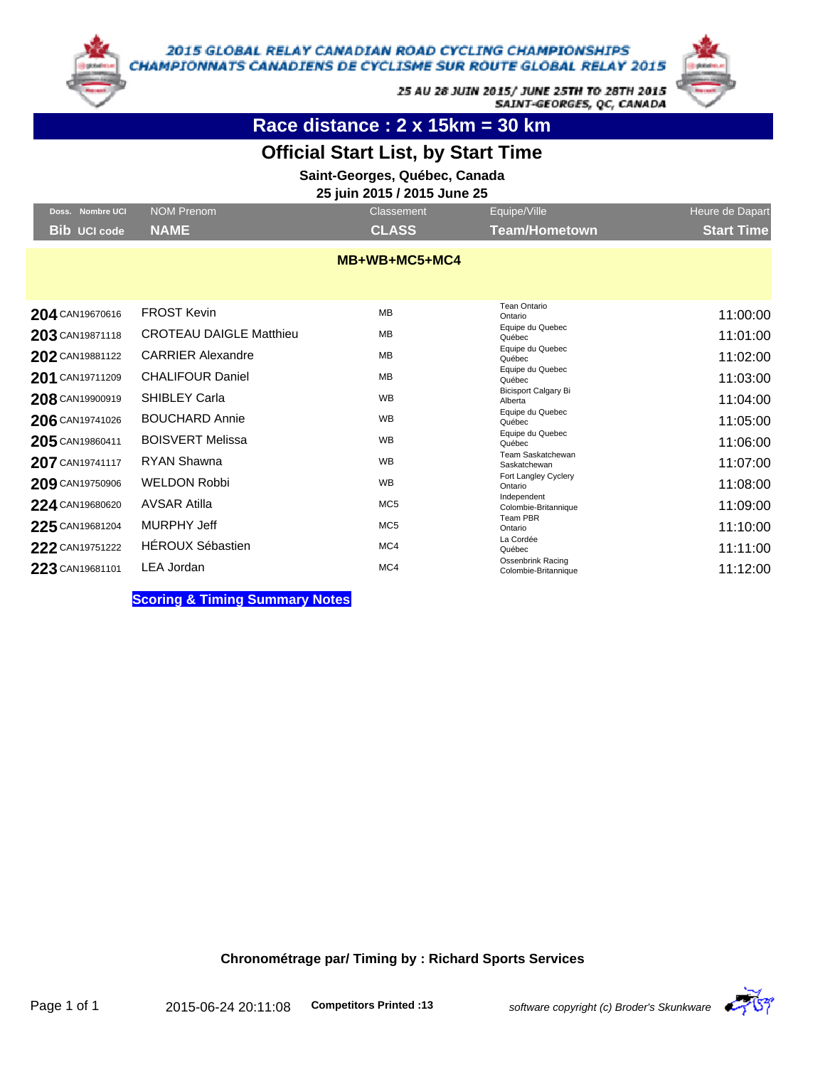

25 AU 28 JUIN 2015/ JUNE 25TH TO 28TH 2015 SAINT-GEORGES, QC, CANADA

**Race distance : 2 x 15km = 30 km**

## **Official Start List, by Start Time**

**Saint-Georges, Québec, Canada**

### **25 juin 2015 / 2015 June 25**

| Doss. Nombre UCI    | <b>NOM Prenom</b>              | Classement      | Equipe/Ville                                     | Heure de Dapart   |
|---------------------|--------------------------------|-----------------|--------------------------------------------------|-------------------|
| <b>Bib UCI code</b> | <b>NAME</b>                    | <b>CLASS</b>    | <b>Team/Hometown</b>                             | <b>Start Time</b> |
|                     |                                | MB+WB+MC5+MC4   |                                                  |                   |
| 204 CAN19670616     | <b>FROST Kevin</b>             | <b>MB</b>       | <b>Tean Ontario</b><br>Ontario                   | 11:00:00          |
| 203 CAN19871118     | <b>CROTEAU DAIGLE Matthieu</b> | MB              | Equipe du Quebec<br>Québec                       | 11:01:00          |
| 202 CAN19881122     | <b>CARRIER Alexandre</b>       | <b>MB</b>       | Equipe du Quebec<br>Québec                       | 11:02:00          |
| 201 CAN19711209     | <b>CHALIFOUR Daniel</b>        | MB              | Equipe du Quebec<br>Québec                       | 11:03:00          |
| 208 CAN19900919     | SHIBLEY Carla                  | <b>WB</b>       | <b>Bicisport Calgary Bi</b><br>Alberta           | 11:04:00          |
| 206 CAN19741026     | <b>BOUCHARD Annie</b>          | <b>WB</b>       | Equipe du Quebec<br>Québec                       | 11:05:00          |
| 205 CAN19860411     | <b>BOISVERT Melissa</b>        | <b>WB</b>       | Equipe du Quebec<br>Québec                       | 11:06:00          |
| 207 CAN19741117     | <b>RYAN Shawna</b>             | <b>WB</b>       | Team Saskatchewan<br>Saskatchewan                | 11:07:00          |
| 209 CAN19750906     | <b>WELDON Robbi</b>            | <b>WB</b>       | Fort Langley Cyclery<br>Ontario                  | 11:08:00          |
| 224 CAN19680620     | <b>AVSAR Atilla</b>            | MC <sub>5</sub> | Independent<br>Colombie-Britannique              | 11:09:00          |
| 225 CAN19681204     | <b>MURPHY Jeff</b>             | MC <sub>5</sub> | Team PBR<br>Ontario                              | 11:10:00          |
| 222 CAN19751222     | <b>HÉROUX Sébastien</b>        | MC4             | La Cordée<br>Québec                              | 11:11:00          |
| 223 CAN19681101     | LEA Jordan                     | MC4             | <b>Ossenbrink Racing</b><br>Colombie-Britannique | 11:12:00          |

**Scoring & Timing Summary Notes**

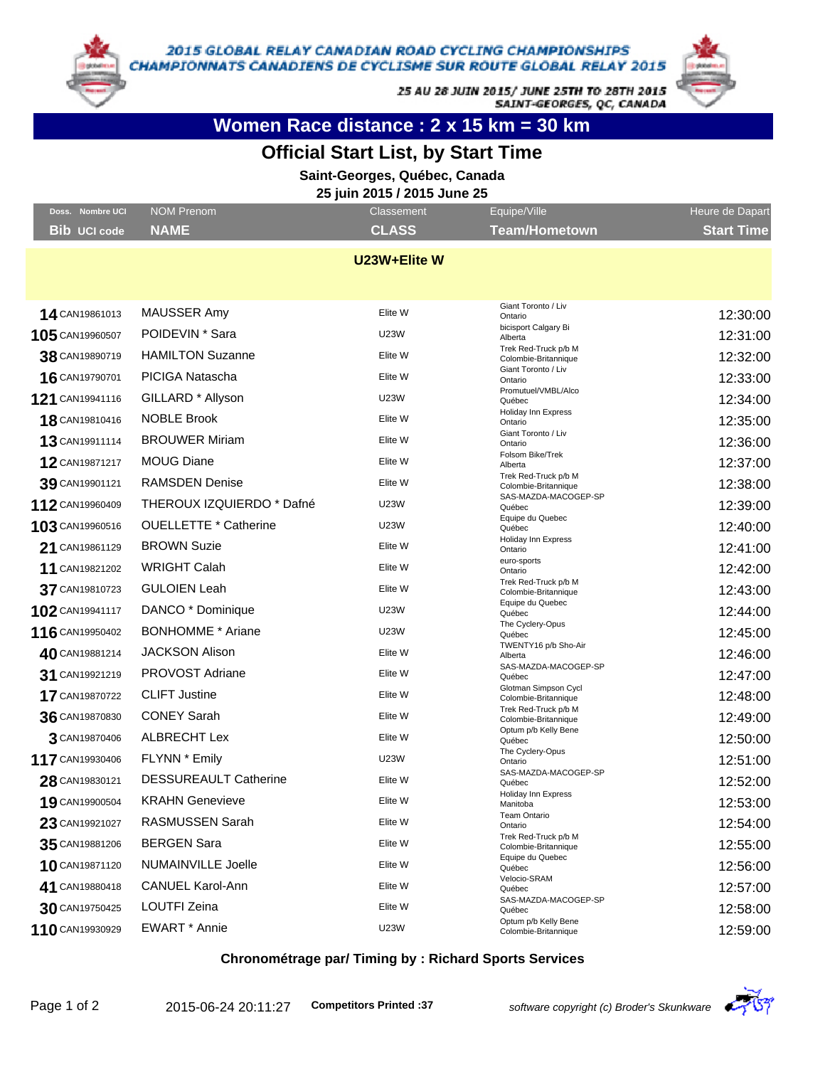

25 AU 28 JUIN 2015/ JUNE 25TH TO 28TH 2015 SAINT-GEORGES, QC, CANADA



**Women Race distance : 2 x 15 km = 30 km**

### **Official Start List, by Start Time**

**Saint-Georges, Québec, Canada**

**25 juin 2015 / 2015 June 25**

| Doss. Nombre UCI    | NOM Prenom                   | Classement   | Equipe/Ville                                 | Heure de Dapart   |
|---------------------|------------------------------|--------------|----------------------------------------------|-------------------|
| <b>Bib UCI code</b> | <b>NAME</b>                  | <b>CLASS</b> | <b>Team/Hometown</b>                         | <b>Start Time</b> |
|                     |                              | U23W+Elite W |                                              |                   |
|                     |                              |              |                                              |                   |
|                     |                              |              |                                              |                   |
| 14 CAN19861013      | MAUSSER Amy                  | Elite W      | Giant Toronto / Liv<br>Ontario               | 12:30:00          |
| 105 CAN19960507     | POIDEVIN <sup>*</sup> Sara   | <b>U23W</b>  | bicisport Calgary Bi<br>Alberta              | 12:31:00          |
| 38 CAN19890719      | <b>HAMILTON Suzanne</b>      | Elite W      | Trek Red-Truck p/b M<br>Colombie-Britannique | 12:32:00          |
| 16 CAN19790701      | PICIGA Natascha              | Elite W      | Giant Toronto / Liv<br>Ontario               | 12:33:00          |
| 121 CAN19941116     | GILLARD * Allyson            | <b>U23W</b>  | Promutuel/VMBL/Alco<br>Québec                | 12:34:00          |
| 18 CAN19810416      | <b>NOBLE Brook</b>           | Elite W      | Holiday Inn Express<br>Ontario               | 12:35:00          |
| 13 CAN19911114      | <b>BROUWER Miriam</b>        | Elite W      | Giant Toronto / Liv<br>Ontario               | 12:36:00          |
| 12 CAN19871217      | <b>MOUG Diane</b>            | Elite W      | Folsom Bike/Trek<br>Alberta                  | 12:37:00          |
| 39 CAN19901121      | <b>RAMSDEN Denise</b>        | Elite W      | Trek Red-Truck p/b M<br>Colombie-Britannique | 12:38:00          |
| 112 CAN19960409     | THEROUX IZQUIERDO * Dafné    | <b>U23W</b>  | SAS-MAZDA-MACOGEP-SP<br>Québec               | 12:39:00          |
| 103 CAN19960516     | <b>OUELLETTE * Catherine</b> | <b>U23W</b>  | Equipe du Quebec<br>Québec                   | 12:40:00          |
| 21 CAN19861129      | <b>BROWN Suzie</b>           | Elite W      | Holiday Inn Express<br>Ontario               | 12:41:00          |
| 11 CAN19821202      | <b>WRIGHT Calah</b>          | Elite W      | euro-sports<br>Ontario                       | 12:42:00          |
| 37 CAN19810723      | <b>GULOIEN Leah</b>          | Elite W      | Trek Red-Truck p/b M<br>Colombie-Britannique | 12:43:00          |
| 102 CAN19941117     | DANCO * Dominique            | <b>U23W</b>  | Equipe du Quebec<br>Québec                   | 12:44:00          |
| 116 CAN19950402     | <b>BONHOMME</b> * Ariane     | <b>U23W</b>  | The Cyclery-Opus<br>Québec                   | 12:45:00          |
| 40 CAN19881214      | <b>JACKSON Alison</b>        | Elite W      | TWENTY16 p/b Sho-Air<br>Alberta              | 12:46:00          |
| 31 CAN19921219      | PROVOST Adriane              | Elite W      | SAS-MAZDA-MACOGEP-SP<br>Québec               | 12:47:00          |
| 17 CAN19870722      | <b>CLIFT Justine</b>         | Elite W      | Glotman Simpson Cycl<br>Colombie-Britannique | 12:48:00          |
| 36 CAN19870830      | <b>CONEY Sarah</b>           | Elite W      | Trek Red-Truck p/b M<br>Colombie-Britannique | 12:49:00          |
| 3 CAN19870406       | <b>ALBRECHT Lex</b>          | Elite W      | Optum p/b Kelly Bene<br>Québec               | 12:50:00          |
| 117 CAN19930406     | FLYNN * Emily                | <b>U23W</b>  | The Cyclery-Opus<br>Ontario                  | 12:51:00          |
| 28 CAN19830121      | <b>DESSUREAULT Catherine</b> | Elite W      | SAS-MAZDA-MACOGEP-SP<br>Québec               | 12:52:00          |
| 19 CAN19900504      | <b>KRAHN Genevieve</b>       | Elite W      | Holiday Inn Express<br>Manitoba              | 12:53:00          |
| 23 CAN19921027      | RASMUSSEN Sarah              | Elite W      | <b>Team Ontario</b><br>Ontario               | 12:54:00          |
| 35 CAN19881206      | <b>BERGEN Sara</b>           | Elite W      | Trek Red-Truck p/b M<br>Colombie-Britannique | 12:55:00          |
| 10 CAN19871120      | NUMAINVILLE Joelle           | Elite W      | Equipe du Quebec<br>Québec                   | 12:56:00          |
| 41 CAN19880418      | CANUEL Karol-Ann             | Elite W      | Velocio-SRAM<br>Québec                       | 12:57:00          |
| 30 CAN19750425      | LOUTFI Zeina                 | Elite W      | SAS-MAZDA-MACOGEP-SP<br>Québec               | 12:58:00          |
| 110 CAN19930929     | EWART * Annie                | <b>U23W</b>  | Optum p/b Kelly Bene<br>Colombie-Britannique | 12:59:00          |

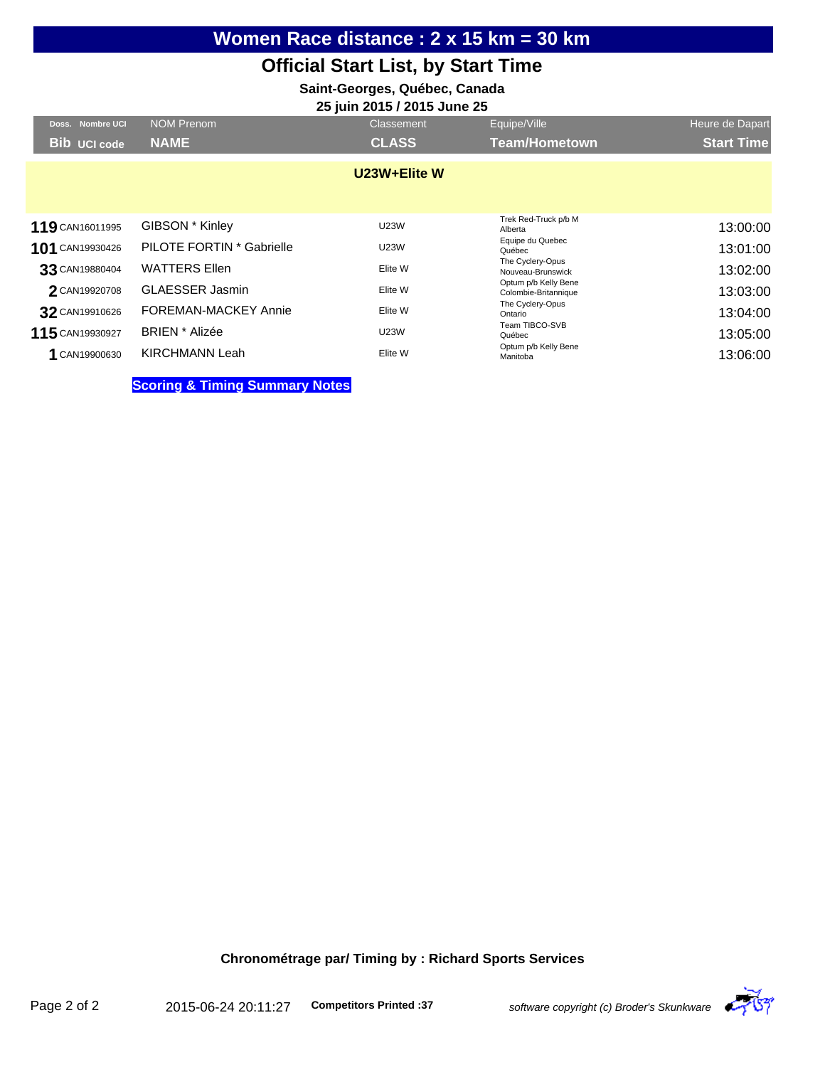# **Women Race distance : 2 x 15 km = 30 km**

### **Official Start List, by Start Time**

## **Saint-Georges, Québec, Canada**

| 25 juin 2015 / 2015 June 25 |                                           |              |                                              |                   |  |
|-----------------------------|-------------------------------------------|--------------|----------------------------------------------|-------------------|--|
| Doss. Nombre UCI            | NOM Prenom                                | Classement   | Equipe/Ville                                 | Heure de Dapart   |  |
| <b>Bib UCI code</b>         | <b>NAME</b>                               | <b>CLASS</b> | <b>Team/Hometown</b>                         | <b>Start Time</b> |  |
|                             |                                           | U23W+Elite W |                                              |                   |  |
| 119 CAN16011995             | GIBSON * Kinley                           | <b>U23W</b>  | Trek Red-Truck p/b M<br>Alberta              | 13:00:00          |  |
| 101 CAN19930426             | PILOTE FORTIN * Gabrielle                 | <b>U23W</b>  | Equipe du Quebec<br>Québec                   | 13:01:00          |  |
| 33 CAN19880404              | <b>WATTERS Ellen</b>                      | Elite W      | The Cyclery-Opus<br>Nouveau-Brunswick        | 13:02:00          |  |
| 2 CAN19920708               | <b>GLAESSER Jasmin</b>                    | Elite W      | Optum p/b Kelly Bene<br>Colombie-Britannique | 13:03:00          |  |
| 32 CAN19910626              | FOREMAN-MACKEY Annie                      | Elite W      | The Cyclery-Opus<br>Ontario                  | 13:04:00          |  |
| 115 CAN19930927             | <b>BRIEN</b> * Alizée                     | <b>U23W</b>  | Team TIBCO-SVB<br>Québec                     | 13:05:00          |  |
| CAN19900630                 | <b>KIRCHMANN Leah</b>                     | Elite W      | Optum p/b Kelly Bene<br>Manitoba             | 13:06:00          |  |
|                             | <b>Scoring &amp; Timing Summary Notes</b> |              |                                              |                   |  |

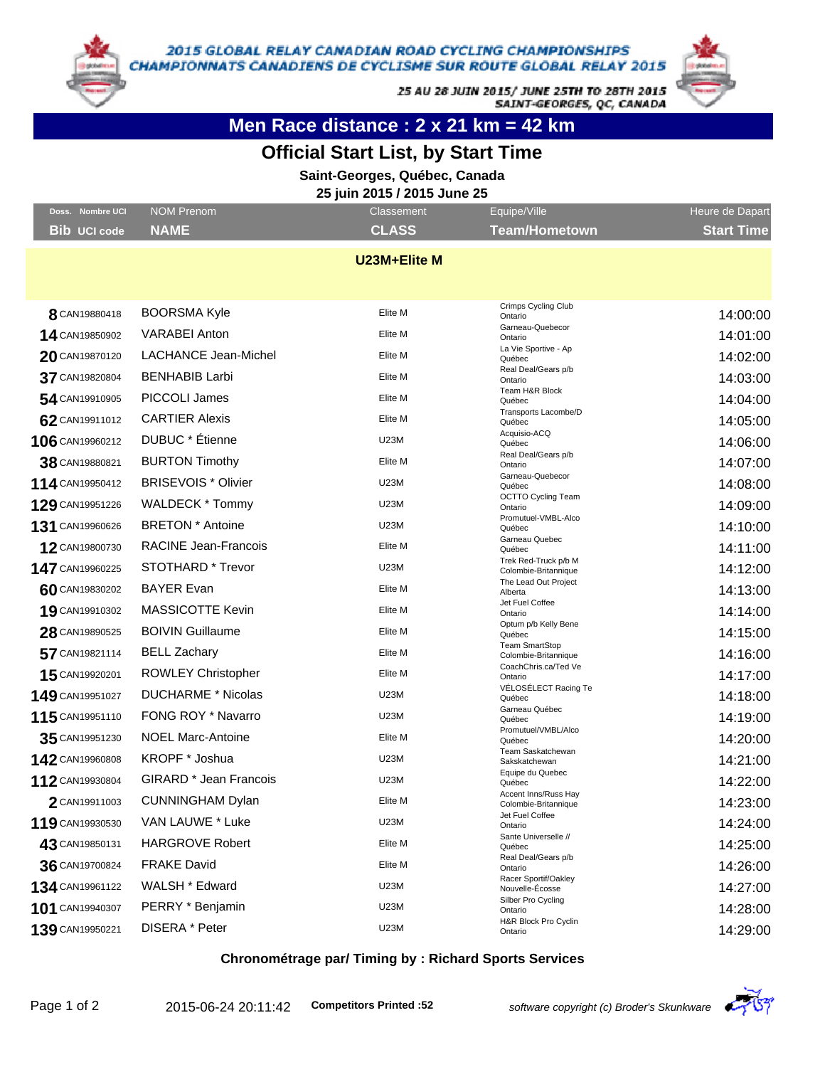

25 AU 28 JUIN 2015/ JUNE 25TH TO 28TH 2015 SAINT-GEORGES, QC, CANADA

# **Men Race distance : 2 x 21 km = 42 km**

### **Official Start List, by Start Time**

**Saint-Georges, Québec, Canada**

**25 juin 2015 / 2015 June 25**

| Doss. Nombre UCI    | <b>NOM Prenom</b>           | <b>Classement</b> | Equipe/Ville                                  | Heure de Dapart   |
|---------------------|-----------------------------|-------------------|-----------------------------------------------|-------------------|
| <b>Bib UCI code</b> | <b>NAME</b>                 | <b>CLASS</b>      | <b>Team/Hometown</b>                          | <b>Start Time</b> |
|                     |                             | U23M+Elite M      |                                               |                   |
|                     |                             |                   |                                               |                   |
| 8 CAN19880418       | <b>BOORSMA Kyle</b>         | Elite M           | Crimps Cycling Club<br>Ontario                | 14:00:00          |
| 14 CAN19850902      | <b>VARABEI Anton</b>        | Elite M           | Garneau-Quebecor                              | 14:01:00          |
| 20 CAN19870120      | <b>LACHANCE Jean-Michel</b> | Elite M           | Ontario<br>La Vie Sportive - Ap               |                   |
|                     |                             |                   | Québec<br>Real Deal/Gears p/b                 | 14:02:00          |
| 37 CAN19820804      | <b>BENHABIB Larbi</b>       | Elite M           | Ontario<br>Team H&R Block                     | 14:03:00          |
| 54 CAN19910905      | PICCOLI James               | Elite M           | Québec<br>Transports Lacombe/D                | 14:04:00          |
| 62 CAN19911012      | <b>CARTIER Alexis</b>       | Elite M           | Québec                                        | 14:05:00          |
| 106 CAN19960212     | DUBUC * Étienne             | <b>U23M</b>       | Acquisio-ACQ<br>Québec                        | 14:06:00          |
| 38 CAN19880821      | <b>BURTON Timothy</b>       | Elite M           | Real Deal/Gears p/b<br>Ontario                | 14:07:00          |
| 114 CAN19950412     | <b>BRISEVOIS * Olivier</b>  | <b>U23M</b>       | Garneau-Quebecor<br>Québec                    | 14:08:00          |
| 129 CAN19951226     | WALDECK * Tommy             | <b>U23M</b>       | <b>OCTTO Cycling Team</b><br>Ontario          | 14:09:00          |
| 131 CAN19960626     | <b>BRETON</b> * Antoine     | <b>U23M</b>       | Promutuel-VMBL-Alco<br>Québec                 | 14:10:00          |
| 12 CAN19800730      | RACINE Jean-Francois        | Elite M           | Garneau Quebec<br>Québec                      | 14:11:00          |
| 147 CAN19960225     | <b>STOTHARD * Trevor</b>    | <b>U23M</b>       | Trek Red-Truck p/b M<br>Colombie-Britannique  | 14:12:00          |
| 60 CAN19830202      | <b>BAYER Evan</b>           | Elite M           | The Lead Out Project<br>Alberta               | 14:13:00          |
| 19 CAN19910302      | <b>MASSICOTTE Kevin</b>     | Elite M           | Jet Fuel Coffee<br>Ontario                    | 14:14:00          |
| 28 CAN19890525      | <b>BOIVIN Guillaume</b>     | Elite M           | Optum p/b Kelly Bene<br>Québec                | 14:15:00          |
| 57 CAN19821114      | <b>BELL Zachary</b>         | Elite M           | <b>Team SmartStop</b><br>Colombie-Britannique | 14:16:00          |
| 15 CAN19920201      | <b>ROWLEY Christopher</b>   | Elite M           | CoachChris.ca/Ted Ve<br>Ontario               | 14:17:00          |
| 149 CAN19951027     | <b>DUCHARME * Nicolas</b>   | <b>U23M</b>       | VÉLOSÉLECT Racing Te                          | 14:18:00          |
| 115 CAN19951110     | FONG ROY * Navarro          | <b>U23M</b>       | Québec<br>Garneau Québec                      | 14:19:00          |
|                     |                             | Elite M           | Québec<br>Promutuel/VMBL/Alco                 |                   |
| 35 CAN19951230      | <b>NOEL Marc-Antoine</b>    |                   | Québec<br>Team Saskatchewan                   | 14:20:00          |
| 142 CAN19960808     | KROPF * Joshua              | <b>U23M</b>       | Sakskatchewan<br>Equipe du Quebec             | 14:21:00          |
| 112 CAN19930804     | GIRARD * Jean Francois      | <b>U23M</b>       | Québec<br>Accent Inns/Russ Hay                | 14:22:00          |
| 2 CAN19911003       | <b>CUNNINGHAM Dylan</b>     | Elite M           | Colombie-Britannique<br>Jet Fuel Coffee       | 14:23:00          |
| 119 CAN19930530     | VAN LAUWE * Luke            | <b>U23M</b>       | Ontario                                       | 14:24:00          |
| 43 CAN19850131      | <b>HARGROVE Robert</b>      | Elite M           | Sante Universelle //<br>Québec                | 14:25:00          |
| 36 CAN19700824      | <b>FRAKE David</b>          | Elite M           | Real Deal/Gears p/b<br>Ontario                | 14:26:00          |
| 134 CAN19961122     | WALSH * Edward              | U23M              | Racer Sportif/Oakley<br>Nouvelle-Ecosse       | 14:27:00          |
| 101 CAN19940307     | PERRY * Benjamin            | <b>U23M</b>       | Silber Pro Cycling<br>Ontario                 | 14:28:00          |
| 139 CAN19950221     | DISERA * Peter              | U23M              | H&R Block Pro Cyclin<br>Ontario               | 14:29:00          |